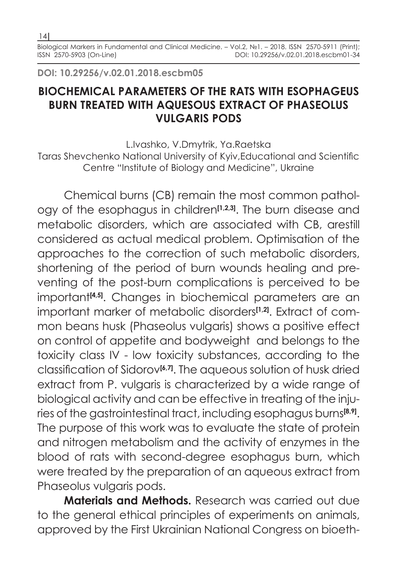**DOI: 10.29256/v.02.01.2018.escbm05**

## **BIOCHEMICAL PARAMETERS OF THE RATS WITH ESOPHAGEUS BURN TREATED WITH AQUESOUS EXTRACT OF PHASEOLUS VULGARIS PODS**

L.Ivashko, V.Dmytrik, Ya.Raetska Taras Shevchenko National University of Kyiv,Educational and Scientific Centre "Institute of Biology and Medicine", Ukraine

Chemical burns (CB) remain the most common pathology of the esophagus in children**[1,2,3]**. The burn disease and metabolic disorders, which are associated with CB, arestill considered as actual medical problem. Optimisation of the approaches to the correction of such metabolic disorders, shortening of the period of burn wounds healing and preventing of the post-burn complications is perceived to be important<sup>[4,5]</sup>. Changes in biochemical parameters are an important marker of metabolic disorders**[1,2]**. Extract of common beans husk (Phaseolus vulgaris) shows a positive effect on control of appetite and bodyweight and belongs to the toxicity class IV - low toxicity substances, according to the classification of Sidorov**[6,7]**. The aqueous solution of husk dried extract from P. vulgaris is characterized by a wide range of biological activity and can be effective in treating of the injuries of the gastrointestinal tract, including esophagus burns**[8,9]**. The purpose of this work was to evaluate the state of protein and nitrogen metabolism and the activity of enzymes in the blood of rats with second-degree esophagus burn, which were treated by the preparation of an aqueous extract from Phaseolus vulgaris pods.

**Materials and Methods.** Research was carried out due to the general ethical principles of experiments on animals, approved by the First Ukrainian National Congress on bioeth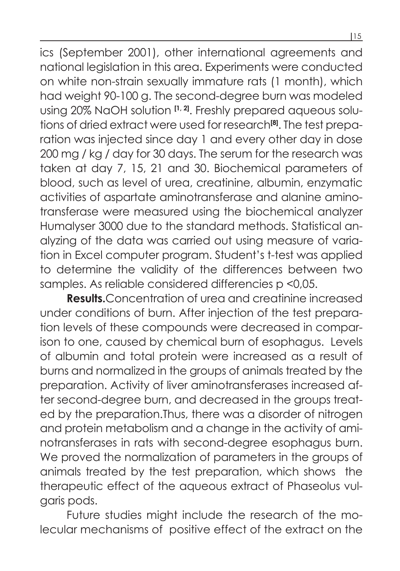ics (September 2001), other international agreements and national legislation in this area. Experiments were conducted on white non-strain sexually immature rats (1 month), which had weight 90-100 g. The second-degree burn was modeled using 20% NaOH solution **[1, 2]**. Freshly prepared aqueous solutions of dried extract were used for research**[8]**. The test preparation was injected since day 1 and every other day in dose 200 mg / kg / day for 30 days. The serum for the research was taken at day 7, 15, 21 and 30. Biochemical parameters of blood, such as level of urea, creatinine, albumin, enzymatic activities of aspartate aminotransferase and alanine aminotransferase were measured using the biochemical analyzer Humalyser 3000 due to the standard methods. Statistical analyzing of the data was carried out using measure of variation in Excel computer program. Student's t-test was applied to determine the validity of the differences between two samples. As reliable considered differencies p <0,05.

**Results.**Concentration of urea and creatinine increased under conditions of burn. After injection of the test preparation levels of these compounds were decreased in comparison to one, caused by chemical burn of esophagus. Levels of albumin and total protein were increased as a result of burns and normalized in the groups of animals treated by the preparation. Activity of liver aminotransferases increased after second-degree burn, and decreased in the groups treated by the preparation.Thus, there was a disorder of nitrogen and protein metabolism and a change in the activity of aminotransferases in rats with second-degree esophagus burn. We proved the normalization of parameters in the groups of animals treated by the test preparation, which shows the therapeutic effect of the aqueous extract of Phaseolus vulgaris pods.

Future studies might include the research of the molecular mechanisms of positive effect of the extract on the